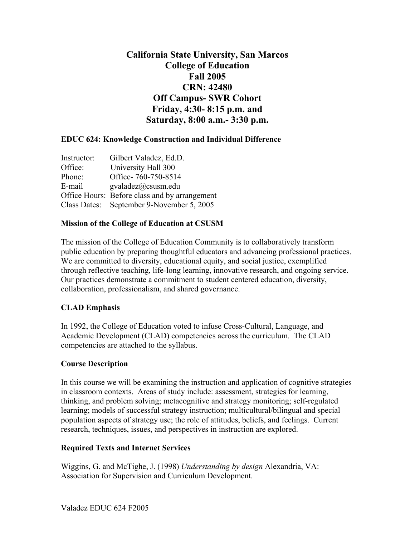# **California State University, San Marcos College of Education Fall 2005 CRN: 42480 Off Campus- SWR Cohort Friday, 4:30- 8:15 p.m. and Saturday, 8:00 a.m.- 3:30 p.m.**

# **EDUC 624: Knowledge Construction and Individual Difference**

| Instructor: | Gilbert Valadez, Ed.D.                        |
|-------------|-----------------------------------------------|
| Office:     | University Hall 300                           |
| Phone:      | Office-760-750-8514                           |
| E-mail      | $\text{gvaladez}(a) \text{c} \text{susm.edu}$ |
|             | Office Hours: Before class and by arrangement |
|             | Class Dates: September 9-November 5, 2005     |

#### **Mission of the College of Education at CSUSM**

The mission of the College of Education Community is to collaboratively transform public education by preparing thoughtful educators and advancing professional practices. We are committed to diversity, educational equity, and social justice, exemplified through reflective teaching, life-long learning, innovative research, and ongoing service. Our practices demonstrate a commitment to student centered education, diversity, collaboration, professionalism, and shared governance.

# **CLAD Emphasis**

In 1992, the College of Education voted to infuse Cross-Cultural, Language, and Academic Development (CLAD) competencies across the curriculum. The CLAD competencies are attached to the syllabus.

#### **Course Description**

In this course we will be examining the instruction and application of cognitive strategies in classroom contexts. Areas of study include: assessment, strategies for learning, thinking, and problem solving; metacognitive and strategy monitoring; self-regulated learning; models of successful strategy instruction; multicultural/bilingual and special population aspects of strategy use; the role of attitudes, beliefs, and feelings. Current research, techniques, issues, and perspectives in instruction are explored.

# **Required Texts and Internet Services**

Wiggins, G. and McTighe, J. (1998) *Understanding by design* Alexandria, VA: Association for Supervision and Curriculum Development.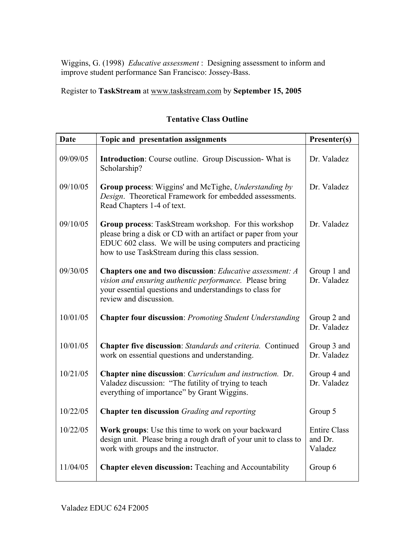Wiggins, G. (1998) *Educative assessment* : Designing assessment to inform and improve student performance San Francisco: Jossey-Bass.

Register to **TaskStream** at www.taskstream.com by **September 15, 2005**

| <b>Date</b> | Topic and presentation assignments                                                                                                                                                                                                             | Presenter(s)                              |
|-------------|------------------------------------------------------------------------------------------------------------------------------------------------------------------------------------------------------------------------------------------------|-------------------------------------------|
| 09/09/05    | <b>Introduction:</b> Course outline. Group Discussion-What is<br>Scholarship?                                                                                                                                                                  | Dr. Valadez                               |
| 09/10/05    | Group process: Wiggins' and McTighe, Understanding by<br>Design. Theoretical Framework for embedded assessments.<br>Read Chapters 1-4 of text.                                                                                                 | Dr. Valadez                               |
| 09/10/05    | <b>Group process:</b> TaskStream workshop. For this workshop<br>please bring a disk or CD with an artifact or paper from your<br>EDUC 602 class. We will be using computers and practicing<br>how to use TaskStream during this class session. | Dr. Valadez                               |
| 09/30/05    | Chapters one and two discussion: Educative assessment: A<br>vision and ensuring authentic performance. Please bring<br>your essential questions and understandings to class for<br>review and discussion.                                      | Group 1 and<br>Dr. Valadez                |
| 10/01/05    | <b>Chapter four discussion: Promoting Student Understanding</b>                                                                                                                                                                                | Group 2 and<br>Dr. Valadez                |
| 10/01/05    | Chapter five discussion: Standards and criteria. Continued<br>work on essential questions and understanding.                                                                                                                                   | Group 3 and<br>Dr. Valadez                |
| 10/21/05    | Chapter nine discussion: Curriculum and instruction. Dr.<br>Valadez discussion: "The futility of trying to teach<br>everything of importance" by Grant Wiggins.                                                                                | Group 4 and<br>Dr. Valadez                |
| 10/22/05    | <b>Chapter ten discussion</b> Grading and reporting                                                                                                                                                                                            | Group 5                                   |
| 10/22/05    | Work groups: Use this time to work on your backward<br>design unit. Please bring a rough draft of your unit to class to<br>work with groups and the instructor.                                                                                | <b>Entire Class</b><br>and Dr.<br>Valadez |
| 11/04/05    | <b>Chapter eleven discussion: Teaching and Accountability</b>                                                                                                                                                                                  | Group 6                                   |

# **Tentative Class Outline**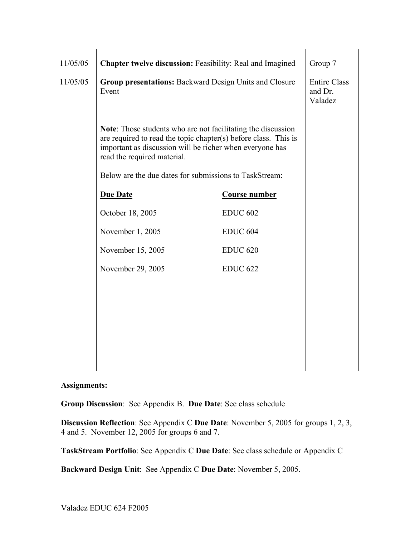| 11/05/05 | Chapter twelve discussion: Feasibility: Real and Imagined                                                                                                                                                                  |                      | Group 7                                   |
|----------|----------------------------------------------------------------------------------------------------------------------------------------------------------------------------------------------------------------------------|----------------------|-------------------------------------------|
| 11/05/05 | Group presentations: Backward Design Units and Closure<br>Event                                                                                                                                                            |                      | <b>Entire Class</b><br>and Dr.<br>Valadez |
|          | Note: Those students who are not facilitating the discussion<br>are required to read the topic chapter(s) before class. This is<br>important as discussion will be richer when everyone has<br>read the required material. |                      |                                           |
|          | Below are the due dates for submissions to TaskStream:                                                                                                                                                                     |                      |                                           |
|          | <b>Due Date</b>                                                                                                                                                                                                            | <b>Course number</b> |                                           |
|          | October 18, 2005                                                                                                                                                                                                           | <b>EDUC 602</b>      |                                           |
|          | November 1, 2005                                                                                                                                                                                                           | <b>EDUC 604</b>      |                                           |
|          | November 15, 2005                                                                                                                                                                                                          | <b>EDUC 620</b>      |                                           |
|          | November 29, 2005                                                                                                                                                                                                          | <b>EDUC 622</b>      |                                           |
|          |                                                                                                                                                                                                                            |                      |                                           |
|          |                                                                                                                                                                                                                            |                      |                                           |
|          |                                                                                                                                                                                                                            |                      |                                           |
|          |                                                                                                                                                                                                                            |                      |                                           |
|          |                                                                                                                                                                                                                            |                      |                                           |

# **Assignments:**

**Group Discussion**: See Appendix B. **Due Date**: See class schedule

**Discussion Reflection**: See Appendix C **Due Date**: November 5, 2005 for groups 1, 2, 3, 4 and 5. November 12, 2005 for groups 6 and 7.

**TaskStream Portfolio**: See Appendix C **Due Date**: See class schedule or Appendix C

**Backward Design Unit**: See Appendix C **Due Date**: November 5, 2005.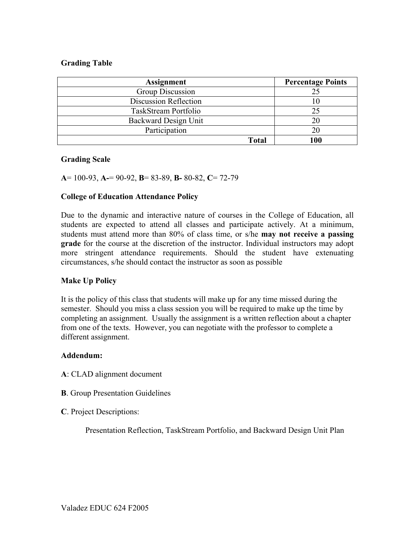#### **Grading Table**

| <b>Assignment</b>            | <b>Percentage Points</b> |
|------------------------------|--------------------------|
| Group Discussion             | 25                       |
| <b>Discussion Reflection</b> |                          |
| TaskStream Portfolio         | 25                       |
| Backward Design Unit         | 20                       |
| Participation                | 20                       |
| <b>Total</b>                 | 100                      |

#### **Grading Scale**

**A**= 100-93, **A-**= 90-92, **B**= 83-89, **B-** 80-82, **C**= 72-79

#### **College of Education Attendance Policy**

Due to the dynamic and interactive nature of courses in the College of Education, all students are expected to attend all classes and participate actively. At a minimum, students must attend more than 80% of class time, or s/he **may not receive a passing grade** for the course at the discretion of the instructor. Individual instructors may adopt more stringent attendance requirements. Should the student have extenuating circumstances, s/he should contact the instructor as soon as possible

#### **Make Up Policy**

It is the policy of this class that students will make up for any time missed during the semester. Should you miss a class session you will be required to make up the time by completing an assignment. Usually the assignment is a written reflection about a chapter from one of the texts. However, you can negotiate with the professor to complete a different assignment.

#### **Addendum:**

- **A**: CLAD alignment document
- **B**. Group Presentation Guidelines
- **C**. Project Descriptions:

Presentation Reflection, TaskStream Portfolio, and Backward Design Unit Plan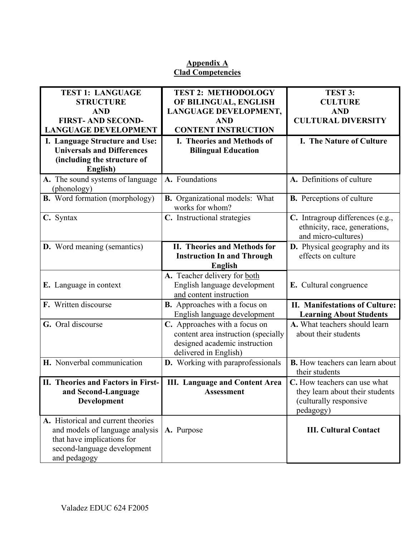# **Appendix A Clad Competencies**

| <b>TEST 1: LANGUAGE</b>               | <b>TEST 2: METHODOLOGY</b>                               | TEST 3:                                                                                  |
|---------------------------------------|----------------------------------------------------------|------------------------------------------------------------------------------------------|
| <b>STRUCTURE</b>                      | OF BILINGUAL, ENGLISH                                    | <b>CULTURE</b>                                                                           |
| <b>AND</b>                            | LANGUAGE DEVELOPMENT,                                    | <b>AND</b>                                                                               |
| <b>FIRST-AND SECOND-</b>              | <b>AND</b>                                               | <b>CULTURAL DIVERSITY</b>                                                                |
| <b>LANGUAGE DEVELOPMENT</b>           | <b>CONTENT INSTRUCTION</b>                               |                                                                                          |
| I. Language Structure and Use:        | I. Theories and Methods of                               | I. The Nature of Culture                                                                 |
| <b>Universals and Differences</b>     | <b>Bilingual Education</b>                               |                                                                                          |
| (including the structure of           |                                                          |                                                                                          |
| English)                              |                                                          |                                                                                          |
| A. The sound systems of language      | A. Foundations                                           | A. Definitions of culture                                                                |
| (phonology)                           |                                                          |                                                                                          |
| <b>B.</b> Word formation (morphology) | <b>B.</b> Organizational models: What<br>works for whom? | <b>B.</b> Perceptions of culture                                                         |
| C. Syntax                             | C. Instructional strategies                              | C. Intragroup differences (e.g.,<br>ethnicity, race, generations,<br>and micro-cultures) |
| <b>D.</b> Word meaning (semantics)    | <b>II. Theories and Methods for</b>                      | D. Physical geography and its                                                            |
|                                       | <b>Instruction In and Through</b>                        | effects on culture                                                                       |
|                                       | <b>English</b>                                           |                                                                                          |
|                                       | A. Teacher delivery for both                             |                                                                                          |
| E. Language in context                | English language development                             | E. Cultural congruence                                                                   |
|                                       | and content instruction                                  |                                                                                          |
| F. Written discourse                  | <b>B.</b> Approaches with a focus on                     | <b>II. Manifestations of Culture:</b>                                                    |
|                                       | English language development                             | <b>Learning About Students</b>                                                           |
| G. Oral discourse                     | C. Approaches with a focus on                            | A. What teachers should learn                                                            |
|                                       | content area instruction (specially                      | about their students                                                                     |
|                                       | designed academic instruction                            |                                                                                          |
|                                       | delivered in English)                                    |                                                                                          |
| H. Nonverbal communication            | <b>D.</b> Working with paraprofessionals                 | <b>B.</b> How teachers can learn about                                                   |
|                                       |                                                          | their students                                                                           |
| II. Theories and Factors in First-    | <b>III.</b> Language and Content Area                    | C. How teachers can use what                                                             |
| and Second-Language                   | <b>Assessment</b>                                        | they learn about their students                                                          |
| Development                           |                                                          | (culturally responsive                                                                   |
|                                       |                                                          | pedagogy)                                                                                |
| A. Historical and current theories    |                                                          |                                                                                          |
| and models of language analysis       | A. Purpose                                               | <b>III. Cultural Contact</b>                                                             |
| that have implications for            |                                                          |                                                                                          |
| second-language development           |                                                          |                                                                                          |
| and pedagogy                          |                                                          |                                                                                          |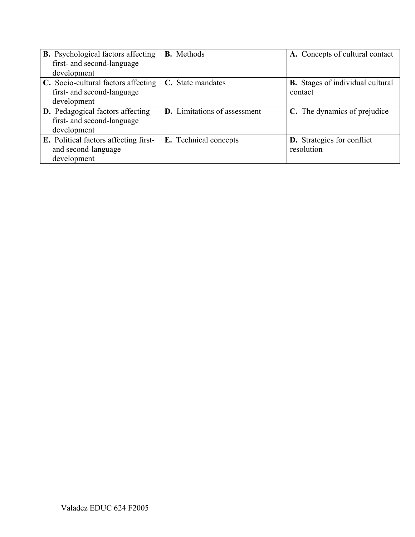| <b>B.</b> Psychological factors affecting<br>first- and second-language | <b>B.</b> Methods                   | A. Concepts of cultural contact         |
|-------------------------------------------------------------------------|-------------------------------------|-----------------------------------------|
| development                                                             |                                     |                                         |
| C. Socio-cultural factors affecting                                     | C. State mandates                   | <b>B.</b> Stages of individual cultural |
| first- and second-language                                              |                                     | contact                                 |
| development                                                             |                                     |                                         |
| <b>D.</b> Pedagogical factors affecting                                 | <b>D.</b> Limitations of assessment | C. The dynamics of prejudice            |
| first- and second-language                                              |                                     |                                         |
| development                                                             |                                     |                                         |
| <b>E.</b> Political factors affecting first-                            | E. Technical concepts               | <b>D.</b> Strategies for conflict       |
| and second-language                                                     |                                     | resolution                              |
| development                                                             |                                     |                                         |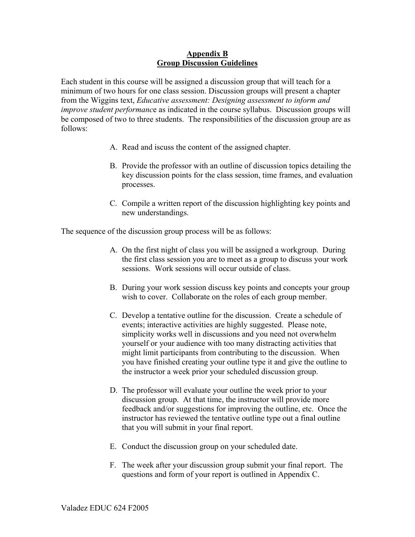#### **Appendix B Group Discussion Guidelines**

Each student in this course will be assigned a discussion group that will teach for a minimum of two hours for one class session. Discussion groups will present a chapter from the Wiggins text, *Educative assessment: Designing assessment to inform and improve student performanc*e as indicated in the course syllabus. Discussion groups will be composed of two to three students. The responsibilities of the discussion group are as follows:

- A. Read and iscuss the content of the assigned chapter.
- B. Provide the professor with an outline of discussion topics detailing the key discussion points for the class session, time frames, and evaluation processes.
- C. Compile a written report of the discussion highlighting key points and new understandings.

The sequence of the discussion group process will be as follows:

- A. On the first night of class you will be assigned a workgroup. During the first class session you are to meet as a group to discuss your work sessions. Work sessions will occur outside of class.
- B. During your work session discuss key points and concepts your group wish to cover. Collaborate on the roles of each group member.
- C. Develop a tentative outline for the discussion. Create a schedule of events; interactive activities are highly suggested. Please note, simplicity works well in discussions and you need not overwhelm yourself or your audience with too many distracting activities that might limit participants from contributing to the discussion. When you have finished creating your outline type it and give the outline to the instructor a week prior your scheduled discussion group.
- D. The professor will evaluate your outline the week prior to your discussion group. At that time, the instructor will provide more feedback and/or suggestions for improving the outline, etc. Once the instructor has reviewed the tentative outline type out a final outline that you will submit in your final report.
- E. Conduct the discussion group on your scheduled date.
- F. The week after your discussion group submit your final report. The questions and form of your report is outlined in Appendix C.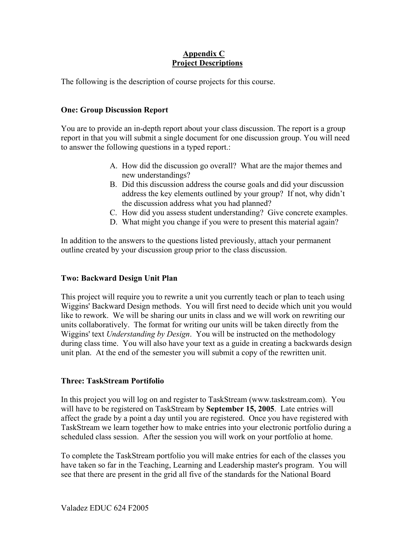# **Appendix C Project Descriptions**

The following is the description of course projects for this course.

# **One: Group Discussion Report**

You are to provide an in-depth report about your class discussion. The report is a group report in that you will submit a single document for one discussion group. You will need to answer the following questions in a typed report.:

- A. How did the discussion go overall? What are the major themes and new understandings?
- B. Did this discussion address the course goals and did your discussion address the key elements outlined by your group? If not, why didn't the discussion address what you had planned?
- C. How did you assess student understanding? Give concrete examples.
- D. What might you change if you were to present this material again?

In addition to the answers to the questions listed previously, attach your permanent outline created by your discussion group prior to the class discussion.

# **Two: Backward Design Unit Plan**

This project will require you to rewrite a unit you currently teach or plan to teach using Wiggins' Backward Design methods. You will first need to decide which unit you would like to rework. We will be sharing our units in class and we will work on rewriting our units collaboratively. The format for writing our units will be taken directly from the Wiggins' text *Understanding by Design*. You will be instructed on the methodology during class time. You will also have your text as a guide in creating a backwards design unit plan. At the end of the semester you will submit a copy of the rewritten unit.

# **Three: TaskStream Portifolio**

In this project you will log on and register to TaskStream (www.taskstream.com). You will have to be registered on TaskStream by **September 15, 2005**. Late entries will affect the grade by a point a day until you are registered. Once you have registered with TaskStream we learn together how to make entries into your electronic portfolio during a scheduled class session. After the session you will work on your portfolio at home.

To complete the TaskStream portfolio you will make entries for each of the classes you have taken so far in the Teaching, Learning and Leadership master's program. You will see that there are present in the grid all five of the standards for the National Board